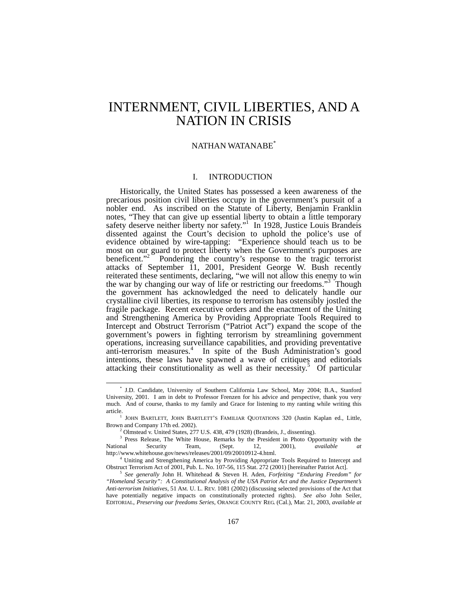# <span id="page-0-5"></span>INTERNMENT, CIVIL LIBERTIES, AND A NATION IN CRISIS

# NATHAN WATANABE[\\*](#page-0-0)

# I. INTRODUCTION

Historically, the United States has possessed a keen awareness of the precarious position civil liberties occupy in the government's pursuit of a nobler end. As inscribed on the Statute of Liberty, Benjamin Franklin notes, "They that can give up essential liberty to obtain a little temporary safetydeserve neither liberty nor safety." In 1928, Justice Louis Brandeis dissented against the Court's decision to uphold the police's use of evidence obtained by wire-tapping: "Experience should teach us to be most on our guard to protect liberty when the Government's purposes are beneficent."<sup>2</sup> Pondering the country's response to the tragic terrorist attacks of September 11, 2001, President George W. Bush recently reiterated these sentiments, declaring, "we will not allow this enemy to win thewar by changing our way of life or restricting our freedoms."<sup>3</sup> Though the government has acknowledged the need to delicately handle our crystalline civil liberties, its response to terrorism has ostensibly jostled the fragile package. Recent executive orders and the enactment of the Uniting and Strengthening America by Providing Appropriate Tools Required to Intercept and Obstruct Terrorism ("Patriot Act") expand the scope of the government's powers in fighting terrorism by streamlining government operations, increasing surveillance capabilities, and providing preventative anti-terrorism measures.<sup>[4](#page-0-4)</sup> In spite of the Bush Administration's good intentions, these laws have spawned a wave of critiques and editorials attackingtheir constitutionality as well as their necessity.<sup>5</sup> Of particular

<span id="page-0-0"></span> <sup>\*</sup> J.D. Candidate, University of Southern California Law School, May 2004; B.A., Stanford University, 2001. I am in debt to Professor Frenzen for his advice and perspective, thank you very much. And of course, thanks to my family and Grace for listening to my ranting while writing this article.

 $<sup>1</sup>$  JOHN BARTLETT, JOHN BARTLETT'S FAMILIAR QUOTATIONS 320 (Justin Kaplan ed., Little,</sup> Brown and Company 17th ed. 2002).

<span id="page-0-3"></span><span id="page-0-2"></span><span id="page-0-1"></span><sup>2</sup> Olmstead v. United States, 277 U.S. 438, 479 (1928) (Brandeis, J., dissenting).

<sup>&</sup>lt;sup>3</sup> Press Release, The White House, Remarks by the President in Photo Opportunity with the National Security Team, (Sept. 12, 2001), *available at*  http://www.whitehouse.gov/news/releases/2001/09/20010912-4.html.

<span id="page-0-4"></span><sup>&</sup>lt;sup>4</sup> Uniting and Strengthening America by Providing Appropriate Tools Required to Intercept and Obstruct Terrorism Act of 2001, Pub. L. No. 107-56, 115 Stat. 272 (2001) [hereinafter Patriot Act]. 5 *See generally* John H. Whitehead & Steven H. Aden, *Forfeiting "Enduring Freedom" for* 

*<sup>&</sup>quot;Homeland Security": A Constitutional Analysis of the USA Patriot Act and the Justice Department's Anti-terrorism Initiatives*, 51 AM. U. L. REV. 1081 (2002) (discussing selected provisions of the Act that have potentially negative impacts on constitutionally protected rights). *See also* John Seiler, EDITORIAL, *Preserving our freedoms Series*, ORANGE COUNTY REG. (Cal.), Mar. 21, 2003, *available at*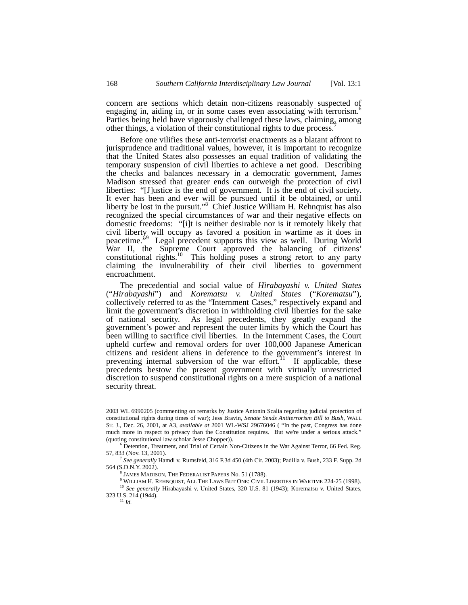concern are sections which detain non-citizens reasonably suspected of engagingin, aiding in, or in some cases even associating with terrorism.<sup>6</sup> Parties being held have vigorously challenged these laws, claiming, among other things, a violation of their constitutional rights to due process.[7](#page-1-1)

Before one vilifies these anti-terrorist enactments as a blatant affront to jurisprudence and traditional values, however, it is important to recognize that the United States also possesses an equal tradition of validating the temporary suspension of civil liberties to achieve a net good. Describing the checks and balances necessary in a democratic government, James Madison stressed that greater ends can outweigh the protection of civil liberties: "[J]ustice is the end of government. It is the end of civil society. It ever has been and ever will be pursued until it be obtained, or until liberty be lost in the pursuit."<sup>[8](#page-1-2)</sup> Chief Justice William H. Rehnquist has also recognized the special circumstances of war and their negative effects on domestic freedoms: "[i]t is neither desirable nor is it remotely likely that civil liberty will occupy as favored a position in wartime as it does in peacetime.<sup>59</sup>Legal precedent supports this view as well. During World War II, the Supreme Court approved the balancing of citizens' constitutional rights.<sup>10</sup> This holding poses a strong retort to any party claiming the invulnerability of their civil liberties to government encroachment.

The precedential and social value of *Hirabayashi v. United States*  ("*Hirabayashi*") and *Korematsu v. United States* ("*Korematsu*"), collectively referred to as the "Internment Cases," respectively expand and limit the government's discretion in withholding civil liberties for the sake of national security. As legal precedents, they greatly expand the government's power and represent the outer limits by which the Court has been willing to sacrifice civil liberties. In the Internment Cases, the Court upheld curfew and removal orders for over 100,000 Japanese American citizens and resident aliens in deference to the government's interest in preventing internal subversion of the war effort.<sup>11</sup> If applicable, these precedents bestow the present government with virtually unrestricted discretion to suspend constitutional rights on a mere suspicion of a national security threat.

 <sup>2003</sup> WL 6990205 (commenting on remarks by Justice Antonin Scalia regarding judicial protection of constitutional rights during times of war); Jess Bravin, *Senate Sends Antiterrorism Bill to Bush*, WALL ST. J., Dec. 26, 2001, at A3, *available at* 2001 WL-WSJ 29676046 ( "In the past, Congress has done much more in respect to privacy than the Constitution requires. But we're under a serious attack." (quoting constitutional law scholar Jesse Chopper)).

<span id="page-1-0"></span><sup>&</sup>lt;sup>6</sup> Detention, Treatment, and Trial of Certain Non-Citizens in the War Against Terror, 66 Fed. Reg. 57, 833 (Nov. 13, 2001).

<sup>7</sup> *See generally* Hamdi v. Rumsfeld, 316 F.3d 450 (4th Cir. 2003); Padilla v. Bush, 233 F. Supp. 2d 564 (S.D.N.Y. 2002).

<span id="page-1-3"></span><span id="page-1-2"></span><span id="page-1-1"></span><sup>8</sup> JAMES MADISON, THE FEDERALIST PAPERS No. 51 (1788).

<span id="page-1-5"></span><span id="page-1-4"></span> $^9$  William H. Rehnquist, All The Laws But One: Civil Liberties in Wartime 224-25 (1998).

<sup>&</sup>lt;sup>10</sup> See generally Hirabayashi v. United States, 320 U.S. 81 (1943); Korematsu v. United States, 323 U.S. 214 (1944).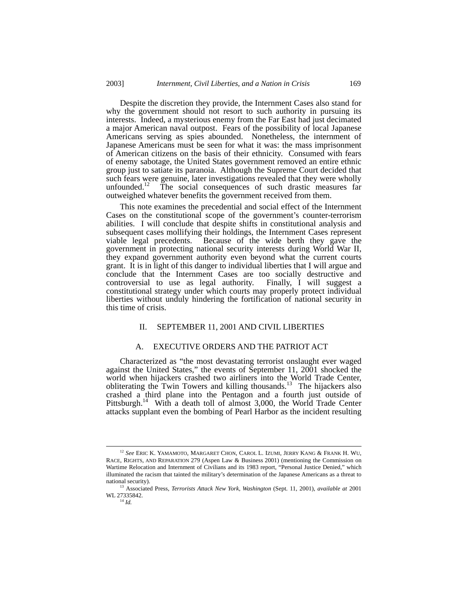Despite the discretion they provide, the Internment Cases also stand for why the government should not resort to such authority in pursuing its interests. Indeed, a mysterious enemy from the Far East had just decimated a major American naval outpost. Fears of the possibility of local Japanese Americans serving as spies abounded. Nonetheless, the internment of Japanese Americans must be seen for what it was: the mass imprisonment of American citizens on the basis of their ethnicity. Consumed with fears of enemy sabotage, the United States government removed an entire ethnic group just to satiate its paranoia. Although the Supreme Court decided that such fears were genuine, later investigations revealed that they were wholly unfounded.<sup>12</sup> The social consequences of such drastic measures far outweighed whatever benefits the government received from them.

This note examines the precedential and social effect of the Internment Cases on the constitutional scope of the government's counter-terrorism abilities. I will conclude that despite shifts in constitutional analysis and subsequent cases mollifying their holdings, the Internment Cases represent viable legal precedents. Because of the wide berth they gave the government in protecting national security interests during World War II, they expand government authority even beyond what the current courts grant. It is in light of this danger to individual liberties that I will argue and conclude that the Internment Cases are too socially destructive and controversial to use as legal authority. Finally, I will suggest a constitutional strategy under which courts may properly protect individual liberties without unduly hindering the fortification of national security in this time of crisis.

## II. SEPTEMBER 11, 2001 AND CIVIL LIBERTIES

### A. EXECUTIVE ORDERS AND THE PATRIOT ACT

Characterized as "the most devastating terrorist onslaught ever waged against the United States," the events of September 11, 2001 shocked the world when hijackers crashed two airliners into the World Trade Center, obliterating the Twin Towers and killing thousands.<sup>13</sup> The hijackers also crashed a third plane into the Pentagon and a fourth just outside of Pittsburgh.<sup>14</sup> With a death toll of almost 3,000, the World Trade Center attacks supplant even the bombing of Pearl Harbor as the incident resulting

<span id="page-2-0"></span> <sup>12</sup> *See* ERIC K. YAMAMOTO, MARGARET CHON, CAROL L. IZUMI, JERRY KANG & FRANK H. WU, RACE, RIGHTS, AND REPARATION 279 (Aspen Law & Business 2001) (mentioning the Commission on Wartime Relocation and Internment of Civilians and its 1983 report, "Personal Justice Denied," which illuminated the racism that tainted the military's determination of the Japanese Americans as a threat to national security). 13 Associated Press, *Terrorists Attack New York, Washington* (Sept. 11, 2001), *available at* <sup>2001</sup>

<span id="page-2-2"></span><span id="page-2-1"></span>WL 27335842.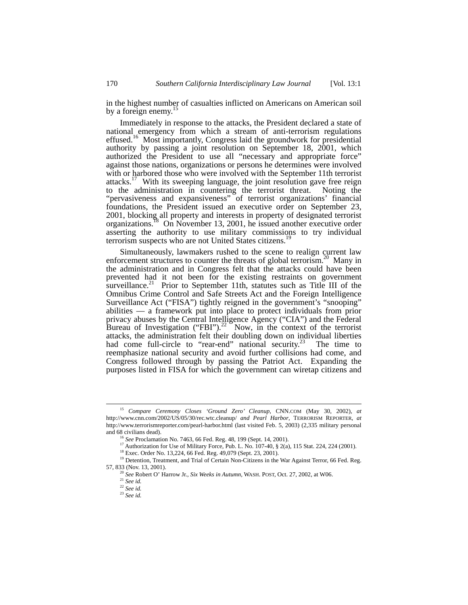in the highest number of casualties inflicted on Americans on American soil by a foreign enemy.<sup>[15](#page-3-0)</sup>

Immediately in response to the attacks, the President declared a state of national emergency from which a stream of anti-terrorism regulations effused.<sup>16</sup> Most importantly, Congress laid the groundwork for presidential authority by passing a joint resolution on September 18, 2001, which authorized the President to use all "necessary and appropriate force" against those nations, organizations or persons he determines were involved with or harbored those who were involved with the September 11th terrorist attacks.<sup>17</sup> With its sweeping language, the joint resolution gave free reign to the administration in countering the terrorist threat. Noting the "pervasiveness and expansiveness" of terrorist organizations' financial foundations, the President issued an executive order on September 23, 2001, blocking all property and interests in property of designated terrorist organizations.<sup>18</sup> On November 13, 2001, he issued another executive order asserting the authority to use military commissions to try individual terrorism suspects who are not United States citizens.<sup>19</sup>

Simultaneously, lawmakers rushed to the scene to realign current law enforcement structures to counter the threats of global terrorism.<sup>20</sup> Many in the administration and in Congress felt that the attacks could have been prevented had it not been for the existing restraints on government surveillance.<sup>[21](#page-3-6)</sup> Prior to September 11th, statutes such as Title III of the Omnibus Crime Control and Safe Streets Act and the Foreign Intelligence Surveillance Act ("FISA") tightly reigned in the government's "snooping" abilities — a framework put into place to protect individuals from prior privacy abuses by the Central Intelligence Agency ("CIA") and the Federal Bureau of Investigation ("FBI").<sup>22</sup> Now, in the context of the terrorist attacks, the administration felt their doubling down on individual liberties had come full-circle to "rear-end" national security.<sup>23</sup> The time to reemphasize national security and avoid further collisions had come, and Congress followed through by passing the Patriot Act. Expanding the purposes listed in FISA for which the government can wiretap citizens and

<span id="page-3-0"></span> <sup>15</sup> *Compare Ceremony Closes 'Ground Zero' Cleanup*, CNN.COM (May 30, 2002), *at* http://www.cnn.com/2002/US/05/30/rec.wtc.cleanup/ *and Pearl Harbor*, TERRORISM REPORTER, *at* http://www.terrorismreporter.com/pearl-harbor.html (last visited Feb. 5, 2003) (2,335 military personal and 68 civilians dead).

<span id="page-3-1"></span><sup>16</sup> *See* Proclamation No. 7463, 66 Fed. Reg. 48, 199 (Sept. 14, 2001).

<span id="page-3-2"></span><sup>17</sup> Authorization for Use of Military Force, Pub. L. No. 107-40, § 2(a), 115 Stat. 224, 224 (2001). <sup>18</sup> Exec. Order No. 13,224, 66 Fed. Reg. 49,079 (Sept. 23, 2001).

<span id="page-3-4"></span><span id="page-3-3"></span>

<sup>&</sup>lt;sup>19</sup> Detention, Treatment, and Trial of Certain Non-Citizens in the War Against Terror, 66 Fed. Reg. 57, 833 (Nov. 13, 2001).

<span id="page-3-5"></span><sup>20</sup> *See* Robert O' Harrow Jr., *Six Weeks in Autumn,* WASH. POST, Oct. 27, 2002, at W06.

<span id="page-3-6"></span><sup>21</sup> *See id.* 

<span id="page-3-7"></span><sup>22</sup> *See id.* 

<span id="page-3-8"></span><sup>23</sup> *See id.*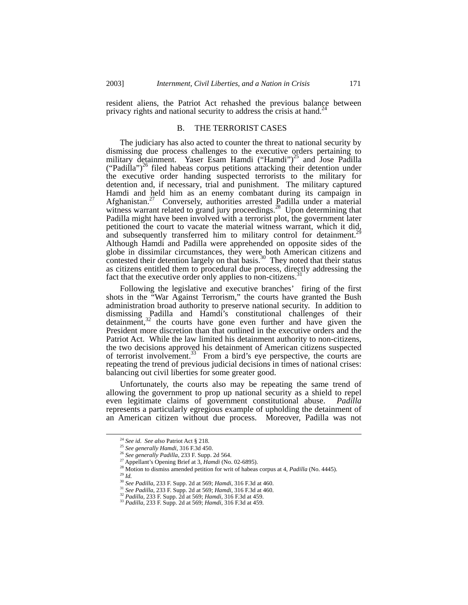resident aliens, the Patriot Act rehashed the previous balance between privacy rights and national security to address the crisis at hand.<sup>24</sup>

## B. THE TERRORIST CASES

The judiciary has also acted to counter the threat to national security by dismissing due process challenges to the executive orders pertaining to military detainment. Yaser Esam Hamdi ("Hamdi")<sup>25</sup> and Jose Padilla ("Padilla")<sup>26</sup> filed habeas corpus petitions attacking their detention under the executive order handing suspected terrorists to the military for detention and, if necessary, trial and punishment. The military captured Hamdi and held him as an enemy combatant during its campaign in Afghanistan.<sup>27</sup> Conversely, authorities arrested Padilla under a material witness warrant related to grand jury proceedings.<sup>28</sup> Upon determining that Padilla might have been involved with a terrorist plot, the government later petitioned the court to vacate the material witness warrant, which it did, and subsequently transferred him to military control for detainment.<sup>25</sup> Although Hamdi and Padilla were apprehended on opposite sides of the globe in dissimilar circumstances, they were both American citizens and contested their detention largely on that basis.<sup>30</sup> They noted that their status as citizens entitled them to procedural due process, directly addressing the fact that the executive order only applies to non-citizens.<sup>[31](#page-4-7)</sup>

Following the legislative and executive branches' firing of the first shots in the "War Against Terrorism," the courts have granted the Bush administration broad authority to preserve national security. In addition to dismissing Padilla and Hamdi's constitutional challenges of their detainment,<sup>32</sup> the courts have gone even further and have given the President more discretion than that outlined in the executive orders and the Patriot Act. While the law limited his detainment authority to non-citizens, the two decisions approved his detainment of American citizens suspected of terrorist involvement.<sup>[33](#page-4-9)</sup> From a bird's eye perspective, the courts are repeating the trend of previous judicial decisions in times of national crises: balancing out civil liberties for some greater good.

Unfortunately, the courts also may be repeating the same trend of allowing the government to prop up national security as a shield to repel even legitimate claims of government constitutional abuse. *Padilla* represents a particularly egregious example of upholding the detainment of an American citizen without due process. Moreover, Padilla was not

<span id="page-4-0"></span> <sup>24</sup> *See id*. *See also* Patriot Act § 218.

<span id="page-4-1"></span><sup>25</sup> *See generally Hamdi*, 316 F.3d 450.

<span id="page-4-2"></span><sup>26</sup> *See generally Padilla*, 233 F. Supp. 2d 564.

<span id="page-4-3"></span><sup>27</sup> Appellant's Opening Brief at 3, *Hamdi* (No. 02-6895).

<span id="page-4-4"></span><sup>28</sup> Motion to dismiss amended petition for writ of habeas corpus at 4, *Padilla* (No. 4445).

<span id="page-4-5"></span><sup>29</sup> *Id.*

<span id="page-4-6"></span><sup>30</sup> *See Padilla*, 233 F. Supp. 2d at 569; *Hamdi*, 316 F.3d at 460.

<span id="page-4-9"></span><span id="page-4-8"></span>

<span id="page-4-7"></span> $32$  Padilla, 233 F. Supp. 2d at 569; Hamdi, 316 F.3d at 459.<br><sup>33</sup> Padilla, 233 F. Supp. 2d at 569; Hamdi, 316 F.3d at 459.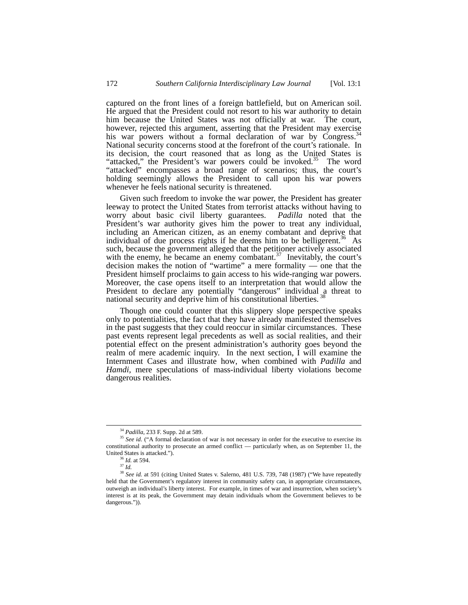captured on the front lines of a foreign battlefield, but on American soil. He argued that the President could not resort to his war authority to detain him because the United States was not officially at war. The court, however, rejected this argument, asserting that the President may exercise his war powers without a formal declaration of war by Congress.<sup>3</sup> National security concerns stood at the forefront of the court's rationale. In its decision, the court reasoned that as long as the United States is "attacked," the President's war powers could be invoked.<sup>35</sup> The word "attacked" encompasses a broad range of scenarios; thus, the court's holding seemingly allows the President to call upon his war powers whenever he feels national security is threatened.

Given such freedom to invoke the war power, the President has greater leeway to protect the United States from terrorist attacks without having to worry about basic civil liberty guarantees. *Padilla* noted that the President's war authority gives him the power to treat any individual, including an American citizen, as an enemy combatant and deprive that individual of due process rights if he deems him to be belligerent.<sup>36</sup> As such, because the government alleged that the petitioner actively associated with the enemy, he became an enemy combatant. $37$  Inevitably, the court's decision makes the notion of "wartime" a mere formality — one that the President himself proclaims to gain access to his wide-ranging war powers. Moreover, the case opens itself to an interpretation that would allow the President to declare any potentially "dangerous" individual a threat to national security and deprive him of his constitutional liberties. [38](#page-5-4)

Though one could counter that this slippery slope perspective speaks only to potentialities, the fact that they have already manifested themselves in the past suggests that they could reoccur in similar circumstances. These past events represent legal precedents as well as social realities, and their potential effect on the present administration's authority goes beyond the realm of mere academic inquiry. In the next section, I will examine the Internment Cases and illustrate how, when combined with *Padilla* and *Hamdi,* mere speculations of mass-individual liberty violations become dangerous realities.

<span id="page-5-1"></span><span id="page-5-0"></span> <sup>34</sup> *Padilla*, 233 F. Supp. 2d at 589.

<sup>&</sup>lt;sup>35</sup> See id. ("A formal declaration of war is not necessary in order for the executive to exercise its constitutional authority to prosecute an armed conflict — particularly when, as on September 11, the United States is attacked."). 36 *Id.* at 594.

<span id="page-5-2"></span>

<span id="page-5-4"></span><span id="page-5-3"></span><sup>37</sup> *Id.*

<sup>&</sup>lt;sup>38</sup> See id. at 591 (citing United States v. Salerno, 481 U.S. 739, 748 (1987) ("We have repeatedly held that the Government's regulatory interest in community safety can, in appropriate circumstances, outweigh an individual's liberty interest. For example, in times of war and insurrection, when society's interest is at its peak, the Government may detain individuals whom the Government believes to be dangerous.")).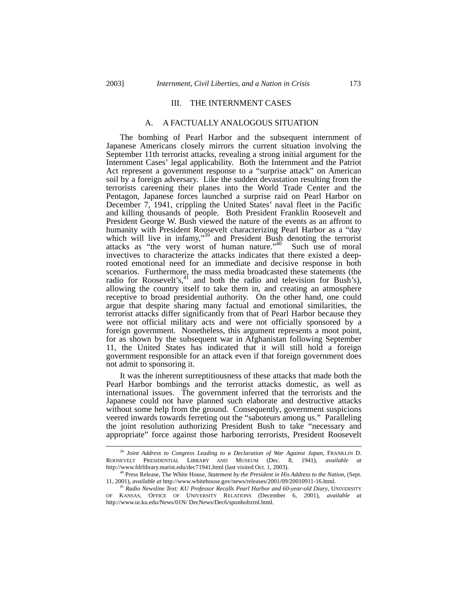## III. THE INTERNMENT CASES

#### A. A FACTUALLY ANALOGOUS SITUATION

The bombing of Pearl Harbor and the subsequent internment of Japanese Americans closely mirrors the current situation involving the September 11th terrorist attacks, revealing a strong initial argument for the Internment Cases' legal applicability. Both the Internment and the Patriot Act represent a government response to a "surprise attack" on American soil by a foreign adversary. Like the sudden devastation resulting from the terrorists careening their planes into the World Trade Center and the Pentagon, Japanese forces launched a surprise raid on Pearl Harbor on December 7, 1941, crippling the United States' naval fleet in the Pacific and killing thousands of people. Both President Franklin Roosevelt and President George W. Bush viewed the nature of the events as an affront to humanity with President Roosevelt characterizing Pearl Harbor as a "day which will live in infamy,"<sup>39</sup> and President Bush denoting the terrorist attacks as "the very worst of human nature."<sup>40</sup> Such use of moral invectives to characterize the attacks indicates that there existed a deeprooted emotional need for an immediate and decisive response in both scenarios. Furthermore, the mass media broadcasted these statements (the radio for Roosevelt's, $4<sup>1</sup>$  and both the radio and television for Bush's), allowing the country itself to take them in, and creating an atmosphere receptive to broad presidential authority. On the other hand, one could argue that despite sharing many factual and emotional similarities, the terrorist attacks differ significantly from that of Pearl Harbor because they were not official military acts and were not officially sponsored by a foreign government. Nonetheless, this argument represents a moot point, for as shown by the subsequent war in Afghanistan following September 11, the United States has indicated that it will still hold a foreign government responsible for an attack even if that foreign government does not admit to sponsoring it.

It was the inherent surreptitiousness of these attacks that made both the Pearl Harbor bombings and the terrorist attacks domestic, as well as international issues. The government inferred that the terrorists and the Japanese could not have planned such elaborate and destructive attacks without some help from the ground. Consequently, government suspicions veered inwards towards ferreting out the "saboteurs among us." Paralleling the joint resolution authorizing President Bush to take "necessary and appropriate" force against those harboring terrorists, President Roosevelt

<span id="page-6-0"></span> <sup>39</sup> *Joint Address to Congress Leading to a Declaration of War Against Japan*, FRANKLIN D. ROOSEVELT PRESIDENTIAL LIBRARY AND MUSEUM (Dec. 8, 1941), *available at* http://www.fdrlibrary.marist.edu/dec71941.html (last visited Oct. 1, 2003).

<span id="page-6-1"></span><sup>40</sup> Press Release, The White House, *Statement by the President in His Address to the Nation*, (Sept. 11, 2001), *available at* http://www.whitehouse.gov/news/releases/2001/09/20010911-16.html. 41 *Radio Newsline Text: KU Professor Recalls Pearl Harbor and 60-year-old Diary*, UNIVERSITY

<span id="page-6-2"></span>OF KANSAS, OFFICE OF UNIVERSITY RELATIONS (December 6, 2001), *available at* http://www.ur.ku.edu/News/01N/ DecNews/Dec6/sponholtzrnl.html.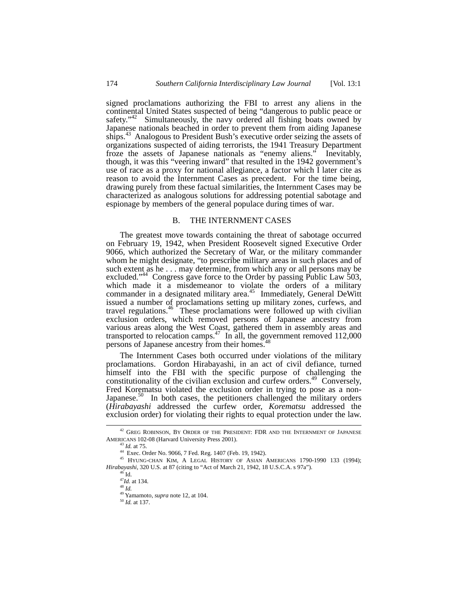signed proclamations authorizing the FBI to arrest any aliens in the continental United States suspected of being "dangerous to public peace or safety."<sup>42</sup> Simultaneously, the navy ordered all fishing boats owned by Japanese nationals beached in order to prevent them from aiding Japanese ships.<sup>43</sup> Analogous to President Bush's executive order seizing the assets of organizations suspected of aiding terrorists, the 1941 Treasury Department froze the assets of Japanese nationals as "enemy aliens." Inevitably, though, it was this "veering inward" that resulted in the 1942 government's use of race as a proxy for national allegiance, a factor which I later cite as reason to avoid the Internment Cases as precedent. For the time being, drawing purely from these factual similarities, the Internment Cases may be characterized as analogous solutions for addressing potential sabotage and espionage by members of the general populace during times of war.

## B. THE INTERNMENT CASES

The greatest move towards containing the threat of sabotage occurred on February 19, 1942, when President Roosevelt signed Executive Order 9066, which authorized the Secretary of War, or the military commander whom he might designate, "to prescribe military areas in such places and of such extent as he . . . may determine, from which any or all persons may be excluded."<sup>44</sup> Congress gave force to the Order by passing Public Law 503, which made it a misdemeanor to violate the orders of a military commander in a designated military area.<sup>45</sup> Immediately, General DeWitt issued a number of proclamations setting up military zones, curfews, and travel regulations.<sup>46</sup> These proclamations were followed up with civilian exclusion orders, which removed persons of Japanese ancestry from various areas along the West Coast, gathered them in assembly areas and transported to relocation camps.<sup>47</sup> In all, the government removed 112,000 persons of Japanese ancestry from their homes.<sup>[48](#page-7-6)</sup>

The Internment Cases both occurred under violations of the military proclamations. Gordon Hirabayashi, in an act of civil defiance, turned himself into the FBI with the specific purpose of challenging the constitutionality of the civilian exclusion and curfew orders.<sup>49</sup> Conversely, Fred Korematsu violated the exclusion order in trying to pose as a non-Japanese.<sup>50</sup> In both cases, the petitioners challenged the military orders (*Hirabayashi* addressed the curfew order, *Korematsu* addressed the exclusion order) for violating their rights to equal protection under the law.

 $^{42}$  GREG ROBINSON, BY ORDER OF THE PRESIDENT: FDR AND THE INTERNMENT OF JAPANESE AMERICANS 102-08 (Harvard University Press 2001).

<span id="page-7-1"></span><span id="page-7-0"></span><sup>43</sup> *Id.* at 75.

<span id="page-7-3"></span><span id="page-7-2"></span><sup>44</sup> Exec. Order No. 9066, 7 Fed. Reg. 1407 (Feb. 19, 1942).

<sup>45</sup> HYUNG-CHAN KIM, A LEGAL HISTORY OF ASIAN AMERICANS 1790-1990 133 (1994); *Hirabayashi*, 320 U.S. at 87 (citing to "Act of March 21, 1942, 18 U.S.C.A. s 97a").<br><sup>46</sup> Id.

<span id="page-7-4"></span><sup>&</sup>lt;sup>46</sup> Id.<br><sup>47</sup>*Id.* at 134.

<span id="page-7-6"></span><span id="page-7-5"></span><sup>48</sup> *Id.* 

<span id="page-7-7"></span><sup>49</sup> Yamamoto, *supra* note 12, at 104.

<span id="page-7-8"></span><sup>50</sup> *Id.* at 137.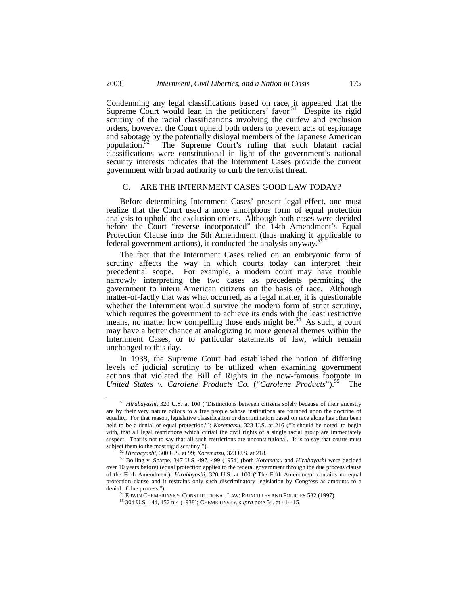Condemning any legal classifications based on race, it appeared that the Supreme Court would lean in the petitioners' favor.<sup>51</sup> Despite its rigid scrutiny of the racial classifications involving the curfew and exclusion orders, however, the Court upheld both orders to prevent acts of espionage and sabotage by the potentially disloyal members of the Japanese American population.<sup>52</sup> The Supreme Court's ruling that such blatant racial classifications were constitutional in light of the government's national security interests indicates that the Internment Cases provide the current government with broad authority to curb the terrorist threat.

#### C. ARE THE INTERNMENT CASES GOOD LAW TODAY?

Before determining Internment Cases' present legal effect, one must realize that the Court used a more amorphous form of equal protection analysis to uphold the exclusion orders. Although both cases were decided before the Court "reverse incorporated" the 14th Amendment's Equal Protection Clause into the 5th Amendment (thus making it applicable to federal covernment octions) it conducted the englycie envirors<sup>[53](#page-8-2)</sup> federal government actions), it conducted the analysis anyway.

The fact that the Internment Cases relied on an embryonic form of scrutiny affects the way in which courts today can interpret their precedential scope. For example, a modern court may have trouble narrowly interpreting the two cases as precedents permitting the government to intern American citizens on the basis of race. Although matter-of-factly that was what occurred, as a legal matter, it is questionable whether the Internment would survive the modern form of strict scrutiny, which requires the government to achieve its ends with the least restrictive means, no matter how compelling those ends might be.<sup>54</sup> As such, a court may have a better chance at analogizing to more general themes within the Internment Cases, or to particular statements of law, which remain unchanged to this day.

In 1938, the Supreme Court had established the notion of differing levels of judicial scrutiny to be utilized when examining government actions that violated the Bill of Rights in the now-famous footnote in United States v. Carolene Products Co. ("Carolene Products").<sup>55</sup> The *United States v. Carolene Products Co.* ("*Carolene Products*").<sup>55</sup>

<span id="page-8-0"></span> <sup>51</sup> *Hirabayashi*, 320 U.S. at 100 ("Distinctions between citizens solely because of their ancestry are by their very nature odious to a free people whose institutions are founded upon the doctrine of equality. For that reason, legislative classification or discrimination based on race alone has often been held to be a denial of equal protection."); *Korematsu*, 323 U.S. at 216 ("It should be noted, to begin with, that all legal restrictions which curtail the civil rights of a single racial group are immediately suspect. That is not to say that all such restrictions are unconstitutional. It is to say that courts must subject them to the most rigid scrutiny.").

<span id="page-8-2"></span><span id="page-8-1"></span><sup>&</sup>lt;sup>52</sup> Hirabayashi, 300 U.S. at 99; *Korematsu*, 323 U.S. at 218.

<sup>53</sup> Bolling v. Sharpe, 347 U.S. 497, 499 (1954) (both *Korematsu* and *Hirabayashi* were decided over 10 years before) (equal protection applies to the federal government through the due process clause of the Fifth Amendment); *Hirabayashi*, 320 U.S. at 100 ("The Fifth Amendment contains no equal protection clause and it restrains only such discriminatory legislation by Congress as amounts to a denial of due process.").

<span id="page-8-3"></span><sup>&</sup>lt;sup>54</sup> ERWIN CHEMERINSKY, CONSTITUTIONAL LAW: PRINCIPLES AND POLICIES 532 (1997).

<span id="page-8-4"></span><sup>55 304</sup> U.S. 144, 152 n.4 (1938); CHEMERINSKY, *supra* note 54, at 414-15.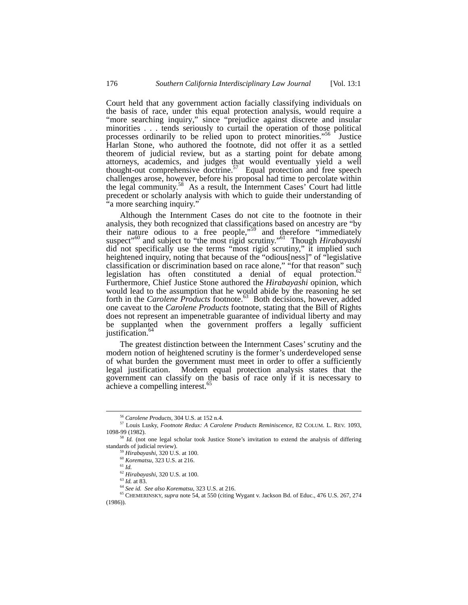Court held that any government action facially classifying individuals on the basis of race, under this equal protection analysis, would require a "more searching inquiry," since "prejudice against discrete and insular minorities . . . tends seriously to curtail the operation of those political processes ordinarily to be relied upon to protect minorities."<sup>56</sup> Justice Harlan Stone, who authored the footnote, did not offer it as a settled theorem of judicial review, but as a starting point for debate among attorneys, academics, and judges that would eventually yield a well thought-out comprehensive doctrine.<sup>57</sup> Equal protection and free speech challenges arose, however, before his proposal had time to percolate within the legal community. [58](#page-9-2) As a result, the Internment Cases' Court had little precedent or scholarly analysis with which to guide their understanding of "a more searching inquiry."

Although the Internment Cases do not cite to the footnote in their analysis, they both recognized that classifications based on ancestry are "by their nature odious to a free people,<sup>559</sup> and therefore "immediately" suspect"[60](#page-9-4) and subject to "the most rigid scrutiny." [61](#page-9-5) Though *Hirabayashi* did not specifically use the terms "most rigid scrutiny," it implied such heightened inquiry, noting that because of the "odious[ness]" of "legislative classification or discrimination based on race alone," "for that reason" such legislation has often constituted a denial of equal protection.<sup>62</sup> Furthermore, Chief Justice Stone authored the *Hirabayashi* opinion, which would lead to the assumption that he would abide by the reasoning he set forth in the *Carolene Products* footnote.<sup>63</sup> Both decisions, however, added one caveat to the *Carolene Products* footnote, stating that the Bill of Rights does not represent an impenetrable guarantee of individual liberty and may be supplanted when the government proffers a legally sufficient justification.<sup>[64](#page-9-8)</sup>

The greatest distinction between the Internment Cases' scrutiny and the modern notion of heightened scrutiny is the former's underdeveloped sense of what burden the government must meet in order to offer a sufficiently legal justification. Modern equal protection analysis states that the government can classify on the basis of race only if it is necessary to achieve a compelling interest.<sup>[65](#page-9-9)</sup>

<span id="page-9-1"></span><span id="page-9-0"></span> <sup>56</sup> *Carolene Products,* 304 U.S. at 152 n.4.

<sup>57</sup> Louis Lusky, *Footnote Redux: A Carolene Products Reminiscence*, 82 COLUM. L. REV. 1093, 1098-99 (1982).

<sup>&</sup>lt;sup>58</sup> Id. (not one legal scholar took Justice Stone's invitation to extend the analysis of differing standards of judicial review).

<span id="page-9-3"></span><span id="page-9-2"></span><sup>59</sup> *Hirabayashi*, 320 U.S. at 100.

<span id="page-9-4"></span><sup>60</sup> *Korematsu*, 323 U.S. at 216.

<span id="page-9-5"></span><sup>61</sup> *Id.*

<span id="page-9-6"></span><sup>62</sup> *Hirabayashi*, 320 U.S. at 100.

<span id="page-9-7"></span><sup>63</sup> *Id.* at 83.

<span id="page-9-9"></span><span id="page-9-8"></span><sup>64</sup> *See id. See also Korematsu*, 323 U.S. at 216.

<sup>65</sup> CHEMERINSKY, *supra* note 54, at 550 (citing Wygant v. Jackson Bd. of Educ., 476 U.S. 267, 274 (1986)).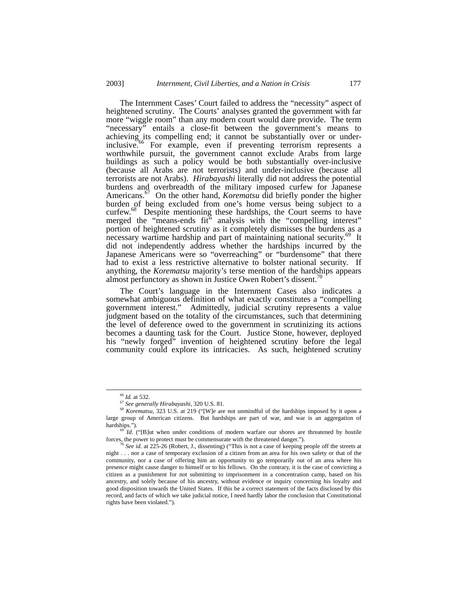The Internment Cases' Court failed to address the "necessity" aspect of heightened scrutiny. The Courts' analyses granted the government with far more "wiggle room" than any modern court would dare provide. The term "necessary" entails a close-fit between the government's means to achieving its compelling end; it cannot be substantially over or underinclusive.<sup>66</sup> For example, even if preventing terrorism represents a worthwhile pursuit, the government cannot exclude Arabs from large buildings as such a policy would be both substantially over-inclusive (because all Arabs are not terrorists) and under-inclusive (because all terrorists are not Arabs). *Hirabayashi* literally did not address the potential burdens and overbreadth of the military imposed curfew for Japanese Americans.<sup>67</sup> On the other hand, *Korematsu* did briefly ponder the higher burden of being excluded from one's home versus being subject to a curfew.<sup>68</sup> Despite mentioning these hardships, the Court seems to have merged the "means-ends fit" analysis with the "compelling interest" portion of heightened scrutiny as it completely dismisses the burdens as a necessary wartime hardship and part of maintaining national security.<sup>69</sup> It did not independently address whether the hardships incurred by the Japanese Americans were so "overreaching" or "burdensome" that there had to exist a less restrictive alternative to bolster national security. If anything, the *Korematsu* majority's terse mention of the hardships appears almost perfunctory as shown in Justice Owen Robert's dissent.

The Court's language in the Internment Cases also indicates a somewhat ambiguous definition of what exactly constitutes a "compelling government interest." Admittedly, judicial scrutiny represents a value judgment based on the totality of the circumstances, such that determining the level of deference owed to the government in scrutinizing its actions becomes a daunting task for the Court. Justice Stone, however, deployed his "newly forged" invention of heightened scrutiny before the legal community could explore its intricacies. As such, heightened scrutiny

<span id="page-10-0"></span> <sup>66</sup> *Id.* at 532.

<span id="page-10-2"></span><span id="page-10-1"></span><sup>67</sup> *See generally Hirabayashi*, 320 U.S. 81.

<sup>68</sup> *Korematsu*, 323 U.S. at 219 ("[W]e are not unmindful of the hardships imposed by it upon a large group of American citizens. But hardships are part of war, and war is an aggregation of

<span id="page-10-3"></span>*Id.* ("[B]ut when under conditions of modern warfare our shores are threatened by hostile forces, the power to protect must be commensurate with the threatened danger.").<br><sup>70</sup> *See id.* at 225-26 (Robert, J., dissenting) ("This is not a case of keeping people off the streets at

<span id="page-10-4"></span>night . . . nor a case of temporary exclusion of a citizen from an area for his own safety or that of the community, nor a case of offering him an opportunity to go temporarily out of an area where his presence might cause danger to himself or to his fellows. On the contrary, it is the case of convicting a citizen as a punishment for not submitting to imprisonment in a concentration camp, based on his ancestry, and solely because of his ancestry, without evidence or inquiry concerning his loyalty and good disposition towards the United States. If this be a correct statement of the facts disclosed by this record, and facts of which we take judicial notice, I need hardly labor the conclusion that Constitutional rights have been violated.").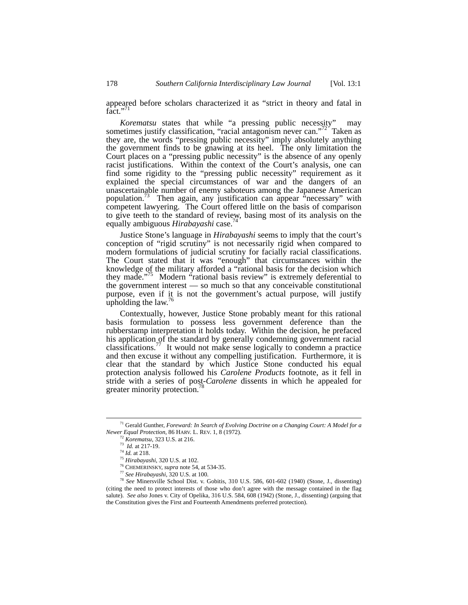appeared before scholars characterized it as "strict in theory and fatal in fact." $1$ 

*Korematsu* states that while "a pressing public necessity" may sometimes justify classification, "racial antagonism never can."<sup>72</sup> Taken as they are, the words "pressing public necessity" imply absolutely anything the government finds to be gnawing at its heel. The only limitation the Court places on a "pressing public necessity" is the absence of any openly racist justifications. Within the context of the Court's analysis, one can find some rigidity to the "pressing public necessity" requirement as it explained the special circumstances of war and the dangers of an unascertainable number of enemy saboteurs among the Japanese American population.[73](#page-11-2) Then again, any justification can appear "necessary" with competent lawyering. The Court offered little on the basis of comparison to give teeth to the standard of review, basing most of its analysis on the equally ambiguous *Hirabayashi* case.<sup>7</sup>

Justice Stone's language in *Hirabayashi* seems to imply that the court's conception of "rigid scrutiny" is not necessarily rigid when compared to modern formulations of judicial scrutiny for facially racial classifications. The Court stated that it was "enough" that circumstances within the knowledge of the military afforded a "rational basis for the decision which they made."<sup>75</sup> Modern "rational basis review" is extremely deferential to the government interest — so much so that any conceivable constitutional purpose, even if it is not the government's actual purpose, will justify upholding the law.<sup>[76](#page-11-5)</sup>

Contextually, however, Justice Stone probably meant for this rational basis formulation to possess less government deference than the rubberstamp interpretation it holds today. Within the decision, he prefaced his application of the standard by generally condemning government racial classifications[.77](#page-11-6) It would not make sense logically to condemn a practice and then excuse it without any compelling justification. Furthermore, it is clear that the standard by which Justice Stone conducted his equal protection analysis followed his *Carolene Products* footnote, as it fell in stride with a series of post-*Carolene* dissents in which he appealed for greater minority protection.<sup>[78](#page-11-7)</sup>

 <sup>71</sup> Gerald Gunther, *Foreward: In Search of Evolving Doctrine on a Changing Court: A Model for a Newer Equal Protection*, 86 HARV. L. REV. 1, 8 (1972). 72 *Korematsu*, 323 U.S. at 216.

<span id="page-11-1"></span><span id="page-11-0"></span>

<span id="page-11-2"></span><sup>73</sup> *Id.* at 217-19.

<span id="page-11-3"></span><sup>74</sup> *Id.* at 218.

<span id="page-11-4"></span><sup>75</sup> *Hirabayashi*, 320 U.S. at 102.

<span id="page-11-5"></span><sup>76</sup> CHEMERINSKY, *supra* note 54, at 534-35.

<span id="page-11-7"></span><span id="page-11-6"></span><sup>77</sup> *See Hirabayashi*, 320 U.S. at 100.

<sup>78</sup> *See* Minersville School Dist. v. Gobitis, 310 U.S. 586, 601-602 (1940) (Stone, J., dissenting) (citing the need to protect interests of those who don't agree with the message contained in the flag salute). *See also* Jones v. City of Opelika, 316 U.S. 584, 608 (1942) (Stone, J., dissenting) (arguing that the Constitution gives the First and Fourteenth Amendments preferred protection).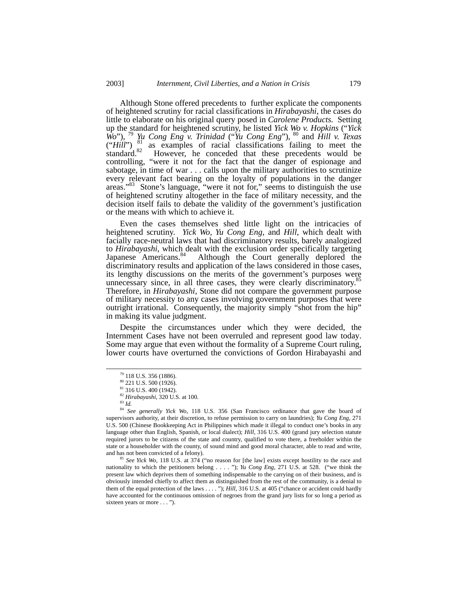Although Stone offered precedents to further explicate the components of heightened scrutiny for racial classifications in *Hirabayashi*, the cases do little to elaborate on his original query posed in *Carolene Products.* Setting up the standard for heightened scrutiny, he listed *Yick Wo v. Hopkins* ("*Yick Wo*"), [79](#page-12-0) *Yu Cong Eng v. Trinidad* ("*Yu Cong Eng*"), [80](#page-12-1) and *Hill v. Texas*  $("Hill")$ <sup>81</sup> as examples of racial classifications failing to meet the standard.<sup>82</sup> However, he conceded that these precedents would be controlling, "were it not for the fact that the danger of espionage and sabotage, in time of war . . . calls upon the military authorities to scrutinize every relevant fact bearing on the loyalty of populations in the danger areas."<sup>83</sup> Stone's language, "were it not for," seems to distinguish the use of heightened scrutiny altogether in the face of military necessity, and the decision itself fails to debate the validity of the government's justification or the means with which to achieve it.

Even the cases themselves shed little light on the intricacies of heightened scrutiny. *Yick Wo, Yu Cong Eng,* and *Hill*, which dealt with facially race-neutral laws that had discriminatory results, barely analogized to *Hirabayashi*, which dealt with the exclusion order specifically targeting Japanese Americans.<sup>84</sup> Although the Court generally deplored the Although the Court generally deplored the discriminatory results and application of the laws considered in those cases, its lengthy discussions on the merits of the government's purposes were unnecessary since, in all three cases, they were clearly discriminatory. $85$ Therefore, in *Hirabayashi,* Stone did not compare the government purpose of military necessity to any cases involving government purposes that were outright irrational. Consequently, the majority simply "shot from the hip" in making its value judgment.

Despite the circumstances under which they were decided, the Internment Cases have not been overruled and represent good law today. Some may argue that even without the formality of a Supreme Court ruling, lower courts have overturned the convictions of Gordon Hirabayashi and

<span id="page-12-0"></span> <sup>79 118</sup> U.S. 356 (1886).

<span id="page-12-1"></span> $80\,$  221 U.S. 500 (1926).

<span id="page-12-2"></span><sup>81 316</sup> U.S. 400 (1942).

<span id="page-12-3"></span><sup>&</sup>lt;sup>82</sup> *Hirabayashi*, 320 U.S. at 100.<br><sup>83</sup> *Id.* 

<span id="page-12-5"></span><span id="page-12-4"></span>

<sup>&</sup>lt;sup>84</sup> See generally Yick Wo, 118 U.S. 356 (San Francisco ordinance that gave the board of supervisors authority, at their discretion, to refuse permission to carry on laundries); *Yu Cong Eng*, 271 U.S. 500 (Chinese Bookkeeping Act in Philippines which made it illegal to conduct one's books in any language other than English, Spanish, or local dialect); *Hill*, 316 U.S. 400 (grand jury selection statute required jurors to be citizens of the state and country, qualified to vote there, a freeholder within the state or a householder with the county, of sound mind and good moral character, able to read and write, and has not been convicted of a felony).

<span id="page-12-6"></span>See Yick Wo, 118 U.S. at 374 ("no reason for [the law] exists except hostility to the race and nationality to which the petitioners belong . . . . "); *Yu Cong Eng*, 271 U.S. at 528. ("we think the present law which deprives them of something indispensable to the carrying on of their business, and is obviously intended chiefly to affect them as distinguished from the rest of the community, is a denial to them of the equal protection of the laws . . . . "); *Hill*, 316 U.S. at 405 ("chance or accident could hardly have accounted for the continuous omission of negroes from the grand jury lists for so long a period as sixteen years or more . . . ").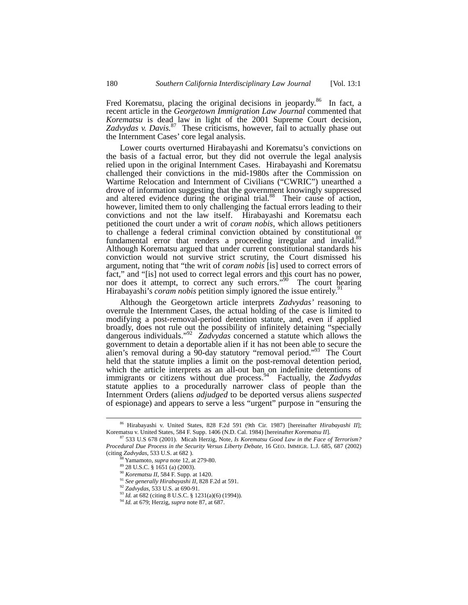Fred Korematsu, placing the original decisions in jeopardy.<sup>86</sup> In fact, a recent article in the *Georgetown Immigration Law Journal* commented that *Korematsu* is dead law in light of the 2001 Supreme Court decision, *Zadvydas v. Davis.*[87](#page-13-1)These criticisms, however, fail to actually phase out the Internment Cases' core legal analysis.

Lower courts overturned Hirabayashi and Korematsu's convictions on the basis of a factual error, but they did not overrule the legal analysis relied upon in the original Internment Cases. Hirabayashi and Korematsu challenged their convictions in the mid-1980s after the Commission on Wartime Relocation and Internment of Civilians ("CWRIC") unearthed a drove of information suggesting that the government knowingly suppressed and altered evidence during the original trial.<sup>88</sup> Their cause of action, however, limited them to only challenging the factual errors leading to their convictions and not the law itself. Hirabayashi and Korematsu each petitioned the court under a writ of *coram nobis*, which allows petitioners to challenge a federal criminal conviction obtained by constitutional or fundamental error that renders a proceeding irregular and invalid.<sup>89</sup> Although Korematsu argued that under current constitutional standards his conviction would not survive strict scrutiny, the Court dismissed his argument, noting that "the writ of *coram nobis* [is] used to correct errors of fact," and "[is] not used to correct legal errors and this court has no power, nor does it attempt, to correct any such errors."<sup>90</sup> The court hearing Hiroboycabi's cover up this point is mored the issue on tiroly <sup>[91](#page-13-5)</sup> Hirabayashi's *coram nobis* petition simply ignored the issue entirely.<sup>9</sup>

Although the Georgetown article interprets *Zadvydas'* reasoning to overrule the Internment Cases, the actual holding of the case is limited to modifying a post-removal-period detention statute, and, even if applied broadly, does not rule out the possibility of infinitely detaining "specially dangerous individuals."[92](#page-13-6) *Zadvydas* concerned a statute which allows the government to detain a deportable alien if it has not been able to secure the alien's removal during a 90-day statutory "removal period."<sup>93</sup> The Court held that the statute implies a limit on the post-removal detention period, which the article interprets as an all-out ban on indefinite detentions of immigrants or citizens without due process.<sup>94</sup> Factually, the *Zadvydas* statute applies to a procedurally narrower class of people than the Internment Orders (aliens *adjudged* to be deported versus aliens *suspected* of espionage) and appears to serve a less "urgent" purpose in "ensuring the

<span id="page-13-0"></span> <sup>86</sup> Hirabayashi v. United States, 828 F.2d 591 (9th Cir. 1987) [hereinafter *Hirabayashi II*];

<span id="page-13-1"></span><sup>&</sup>lt;sup>87</sup> 533 U.S 678 (2001). Micah Herzig, Note, *Is Korematsu Good Law in the Face of Terrorism? Procedural Due Process in the Security Versus Liberty Debate*, 16 GEO. IMMIGR. L.J. 685, 687 (2002) (citing *Zadvydas*, 533 U.S. at 682 ).

<span id="page-13-2"></span><sup>88</sup> Yamamoto, *supra* note 12, at 279-80.

<span id="page-13-3"></span><sup>89 28</sup> U.S.C. § 1651 (a) (2003).

<span id="page-13-4"></span><sup>90</sup> *Korematsu II*, 584 F. Supp. at 1420.

<span id="page-13-5"></span><sup>91</sup> *See generally Hirabayashi II*, 828 F.2d at 591.

<span id="page-13-6"></span><sup>92</sup> *Zadvydas*, 533 U.S. at 690-91.

<span id="page-13-7"></span><sup>&</sup>lt;sup>93</sup> *Id.* at 682 (citing 8 U.S.C. § 1231(a)(6) (1994)).<br><sup>94</sup> *Id.* at 679; Herzig, *supra* note 87, at 687.

<span id="page-13-8"></span>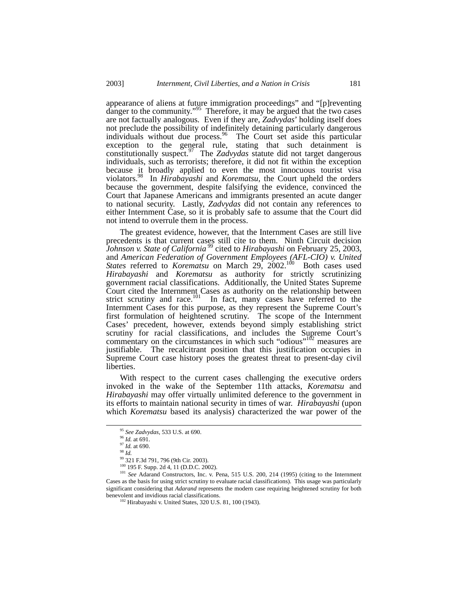appearance of aliens at future immigration proceedings" and "[p]reventing danger to the community. $195$  Therefore, it may be argued that the two cases are not factually analogous. Even if they are, *Zadvydas*' holding itself does not preclude the possibility of indefinitely detaining particularly dangerous individuals without due process.<sup>96</sup> The Court set aside this particular exception to the general rule, stating that such detainment is constitutionally suspect.[97](#page-14-2) The *Zadvydas* statute did not target dangerous individuals, such as terrorists; therefore, it did not fit within the exception because it broadly applied to even the most innocuous tourist visa violators[.98](#page-14-3) In *Hirabayashi* and *Korematsu,* the Court upheld the orders because the government, despite falsifying the evidence, convinced the Court that Japanese Americans and immigrants presented an acute danger to national security. Lastly, *Zadvydas* did not contain any references to either Internment Case, so it is probably safe to assume that the Court did not intend to overrule them in the process.

The greatest evidence, however, that the Internment Cases are still live precedents is that current cases still cite to them. Ninth Circuit decision *Johnson v. State of California* [99](#page-14-4) cited to *Hirabayashi* on February 25, 2003, and *American Federation of Government Employees (AFL-CIO) v. United States* referred to *Korematsu* on March 29, 2002.<sup>100</sup> Both cases used *Hirabayashi* and *Korematsu* as authority for strictly scrutinizing government racial classifications. Additionally, the United States Supreme Court cited the Internment Cases as authority on the relationship between strict scrutiny and race.<sup>101</sup> In fact, many cases have referred to the Internment Cases for this purpose, as they represent the Supreme Court's first formulation of heightened scrutiny. The scope of the Internment Cases' precedent, however, extends beyond simply establishing strict scrutiny for racial classifications, and includes the Supreme Court's commentary on the circumstances in which such "odious"<sup>102</sup> measures are justifiable. The recalcitrant position that this justification occupies in Supreme Court case history poses the greatest threat to present-day civil liberties.

With respect to the current cases challenging the executive orders invoked in the wake of the September 11th attacks, *Korematsu* and *Hirabayashi* may offer virtually unlimited deference to the government in its efforts to maintain national security in times of war. *Hirabayashi* (upon which *Korematsu* based its analysis) characterized the war power of the

<span id="page-14-0"></span> <sup>95</sup> *See Zadvydas*, 533 U.S. at 690.

<span id="page-14-1"></span><sup>96</sup> *Id.* at 691.

<span id="page-14-2"></span><sup>97</sup> *Id.* at 690.

<span id="page-14-3"></span><sup>98</sup> *Id.*

<span id="page-14-4"></span><sup>99 321</sup> F.3d 791, 796 (9th Cir. 2003).

<span id="page-14-6"></span><span id="page-14-5"></span>

<sup>100 195</sup> F. Supp. 2d 4, 11 (D.D.C. 2002). 101 *See* Adarand Constructors, Inc. v. Pena, 515 U.S. 200, 214 (1995) (citing to the Internment Cases as the basis for using strict scrutiny to evaluate racial classifications). This usage was particularly significant considering that *Adarand* represents the modern case requiring heightened scrutiny for both benevolent and invidious racial classifications.<br><sup>102</sup> Hirabayashi v. United States, 320 U.S. 81, 100 (1943).

<span id="page-14-7"></span>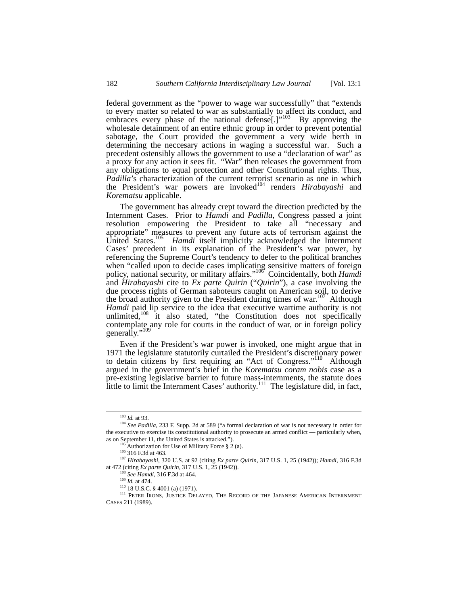federal government as the "power to wage war successfully" that "extends to every matter so related to war as substantially to affect its conduct, and embraces every phase of the national defense[.]"<sup>103</sup> By approving the wholesale detainment of an entire ethnic group in order to prevent potential sabotage, the Court provided the government a very wide berth in determining the neccesary actions in waging a successful war. Such a precedent ostensibly allows the government to use a "declaration of war" as a proxy for any action it sees fit. "War" then releases the government from any obligations to equal protection and other Constitutional rights. Thus, *Padilla*'s characterization of the current terrorist scenario as one in which the President's war powers are invoked<sup>104</sup> renders *Hirabayashi* and *Korematsu* applicable.

The government has already crept toward the direction predicted by the Internment Cases. Prior to *Hamdi* and *Padilla*, Congress passed a joint resolution empowering the President to take all "necessary and appropriate" measures to prevent any future acts of terrorism against the United States.<sup>105</sup> *Hamdi* itself implicitly acknowledged the Internment Cases' precedent in its explanation of the President's war power, by referencing the Supreme Court's tendency to defer to the political branches when "called upon to decide cases implicating sensitive matters of foreign policy, national security, or military affairs."[106](#page-15-3) Coincidentally, both *Hamdi* and *Hirabayashi* cite to *Ex parte Quirin* ("*Quirin*"), a case involving the due process rights of German saboteurs caught on American soil, to derive the broad authority given to the President during times of war.<sup>107</sup> Although *Hamdi* paid lip service to the idea that executive wartime authority is not unlimited, $108$  it also stated, "the Constitution does not specifically contemplate any role for courts in the conduct of war, or in foreign policy generally."<sup>[109](#page-15-6)</sup>

Even if the President's war power is invoked, one might argue that in 1971 the legislature statutorily curtailed the President's discretionary power to detain citizens by first requiring an "Act of Congress."[110](#page-15-7) Although argued in the government's brief in the *Korematsu coram nobis* case as a pre-existing legislative barrier to future mass-internments, the statute does little to limit the Internment Cases' authority.<sup>111</sup> The legislature did, in fact,

<span id="page-15-1"></span><span id="page-15-0"></span> <sup>103</sup> *Id.* at 93.

<sup>104</sup> *See Padilla*, 233 F. Supp. 2d at 589 ("a formal declaration of war is not necessary in order for the executive to exercise its constitutional authority to prosecute an armed conflict — particularly when, as on September 11, the United States is attacked.").<br><sup>105</sup> Authorization for Use of Military Force § 2 (a).<br><sup>106</sup> 316 F.3d at 463.

<span id="page-15-2"></span>

<span id="page-15-4"></span><span id="page-15-3"></span>

<sup>107</sup> *Hirabayashi*, 320 U.S. at 92 (citing *Ex parte Quirin*, 317 U.S. 1, 25 (1942)); *Hamdi*, 316 F.3d at 472 (citing *Ex parte Quirin*, 317 U.S. 1, 25 (1942)).

<span id="page-15-5"></span><sup>108</sup> *See Hamdi*, 316 F.3d at 464.

<span id="page-15-6"></span><sup>109</sup> *Id.* at 474.

<span id="page-15-8"></span><span id="page-15-7"></span><sup>110 18</sup> U.S.C. § 4001 (a) (1971).

 $^{111}$  PETER IRONS, JUSTICE DELAYED, THE RECORD OF THE JAPANESE AMERICAN INTERNMENT CASES 211 (1989).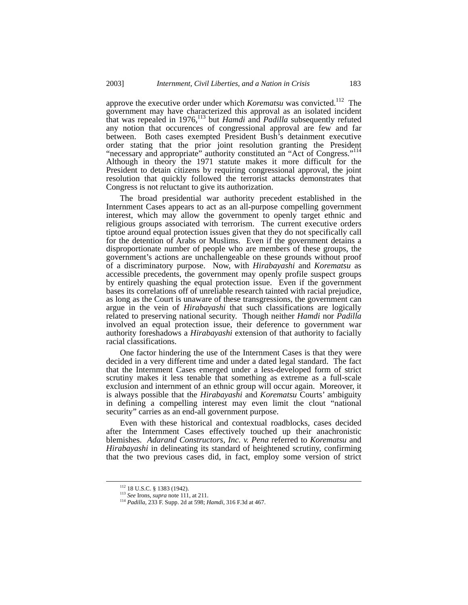approve the executive order under which *Korematsu* was convicted.<sup>112</sup> The government may have characterized this approval as an isolated incident that was repealed in 1976,[113](#page-16-1) but *Hamdi* and *Padilla* subsequently refuted any notion that occurences of congressional approval are few and far between. Both cases exempted President Bush's detainment executive order stating that the prior joint resolution granting the President "necessary and appropriate" authority constituted an "Act of Congress."<sup>114</sup> Although in theory the 1971 statute makes it more difficult for the President to detain citizens by requiring congressional approval, the joint resolution that quickly followed the terrorist attacks demonstrates that Congress is not reluctant to give its authorization.

The broad presidential war authority precedent established in the Internment Cases appears to act as an all-purpose compelling government interest, which may allow the government to openly target ethnic and religious groups associated with terrorism. The current executive orders tiptoe around equal protection issues given that they do not specifically call for the detention of Arabs or Muslims. Even if the government detains a disproportionate number of people who are members of these groups, the government's actions are unchallengeable on these grounds without proof of a discriminatory purpose. Now, with *Hirabayashi* and *Korematsu* as accessible precedents, the government may openly profile suspect groups by entirely quashing the equal protection issue. Even if the government bases its correlations off of unreliable research tainted with racial prejudice, as long as the Court is unaware of these transgressions, the government can argue in the vein of *Hirabayashi* that such classifications are logically related to preserving national security. Though neither *Hamdi* nor *Padilla*  involved an equal protection issue, their deference to government war authority foreshadows a *Hirabayashi* extension of that authority to facially racial classifications.

One factor hindering the use of the Internment Cases is that they were decided in a very different time and under a dated legal standard. The fact that the Internment Cases emerged under a less-developed form of strict scrutiny makes it less tenable that something as extreme as a full-scale exclusion and internment of an ethnic group will occur again. Moreover, it is always possible that the *Hirabayashi* and *Korematsu* Courts' ambiguity in defining a compelling interest may even limit the clout "national security" carries as an end-all government purpose.

Even with these historical and contextual roadblocks, cases decided after the Internment Cases effectively touched up their anachronistic blemishes. *Adarand Constructors, Inc. v. Pena* referred to *Korematsu* and *Hirabayashi* in delineating its standard of heightened scrutiny, confirming that the two previous cases did, in fact, employ some version of strict

<span id="page-16-0"></span> <sup>112 18</sup> U.S.C. § 1383 (1942).

<span id="page-16-1"></span><sup>113</sup> *See* Irons, *supra* note 111, at 211.

<span id="page-16-2"></span><sup>114</sup> *Padilla*, 233 F. Supp. 2d at 598; *Hamdi,* 316 F.3d at 467.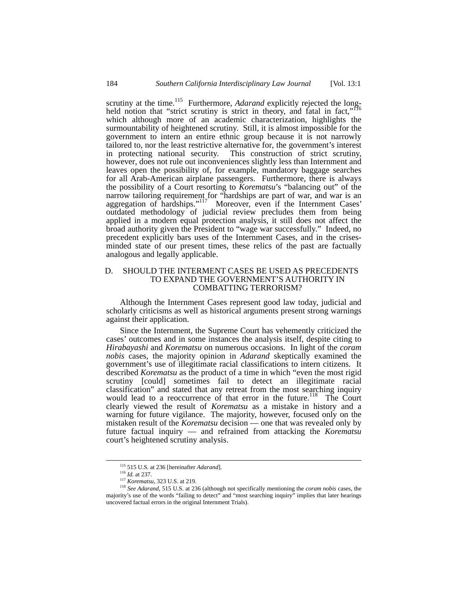scrutiny at the time.<sup>115</sup> Furthermore, *Adarand* explicitly rejected the long-held notion that "strict scrutiny is strict in theory, and fatal in fact,"<sup>[116](#page-17-1)</sup> which although more of an academic characterization, highlights the surmountability of heightened scrutiny. Still, it is almost impossible for the government to intern an entire ethnic group because it is not narrowly tailored to, nor the least restrictive alternative for, the government's interest in protecting national security. This construction of strict scrutiny, however, does not rule out inconveniences slightly less than Internment and leaves open the possibility of, for example, mandatory baggage searches for all Arab-American airplane passengers. Furthermore, there is always the possibility of a Court resorting to *Korematsu*'s "balancing out" of the narrow tailoring requirement for "hardships are part of war, and war is an aggregation of hardships."<sup>117</sup> Moreover, even if the Internment Cases' outdated methodology of judicial review precludes them from being applied in a modern equal protection analysis, it still does not affect the broad authority given the President to "wage war successfully." Indeed, no precedent explicitly bars uses of the Internment Cases, and in the crisesminded state of our present times, these relics of the past are factually analogous and legally applicable.

## D. SHOULD THE INTERMENT CASES BE USED AS PRECEDENTS TO EXPAND THE GOVERNMENT'S AUTHORITY IN COMBATTING TERRORISM?

Although the Internment Cases represent good law today, judicial and scholarly criticisms as well as historical arguments present strong warnings against their application.

Since the Internment, the Supreme Court has vehemently criticized the cases' outcomes and in some instances the analysis itself, despite citing to *Hirabayashi* and *Korematsu* on numerous occasions. In light of the *coram nobis* cases, the majority opinion in *Adarand* skeptically examined the government's use of illegitimate racial classifications to intern citizens. It described *Korematsu* as the product of a time in which "even the most rigid scrutiny [could] sometimes fail to detect an illegitimate racial classification" and stated that any retreat from the most searching inquiry would lead to a reoccurrence of that error in the future.<sup>118</sup> The Court clearly viewed the result of *Korematsu* as a mistake in history and a warning for future vigilance. The majority, however, focused only on the mistaken result of the *Korematsu* decision — one that was revealed only by future factual inquiry — and refrained from attacking the *Korematsu* court's heightened scrutiny analysis.

<span id="page-17-0"></span> <sup>115 515</sup> U.S. at 236 [hereinafter *Adarand*]. 116 *Id.* at 237.

<span id="page-17-1"></span>

<span id="page-17-3"></span><span id="page-17-2"></span><sup>117</sup> *Korematsu*, 323 U.S. at 219.

<sup>118</sup> *See Adarand*, 515 U.S. at 236 (although not specifically mentioning the *coram nobis* cases, the majority's use of the words "failing to detect" and "most searching inquiry" implies that later hearings uncovered factual errors in the original Internment Trials).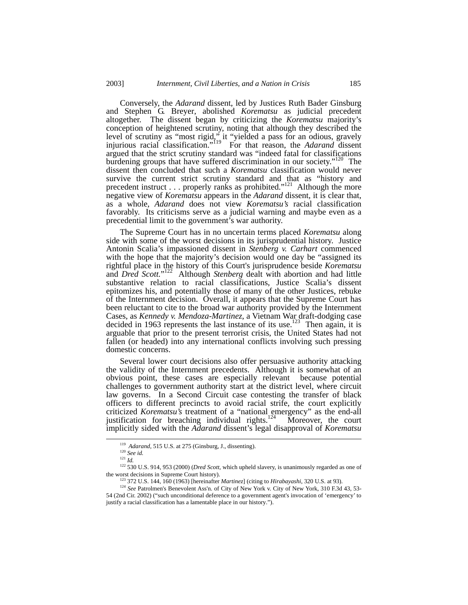Conversely, the *Adarand* dissent, led by Justices Ruth Bader Ginsburg and Stephen G. Breyer, abolished *Korematsu* as judicial precedent altogether. The dissent began by criticizing the *Korematsu* majority's conception of heightened scrutiny, noting that although they described the level of scrutiny as "most rigid," it "yielded a pass for an odious, gravely injurious racial classification.["119](#page-18-0) For that reason, the *Adarand* dissent argued that the strict scrutiny standard was "indeed fatal for classifications burdening groups that have suffered discrimination in our society."<sup>120</sup> The dissent then concluded that such a *Korematsu* classification would never survive the current strict scrutiny standard and that as "history and precedent instruct  $\dots$  properly ranks as prohibited."<sup>121</sup> Although the more negative view of *Korematsu* appears in the *Adarand* dissent, it is clear that, as a whole, *Adarand* does not view *Korematsu's* racial classification favorably. Its criticisms serve as a judicial warning and maybe even as a precedential limit to the government's war authority.

The Supreme Court has in no uncertain terms placed *Korematsu* along side with some of the worst decisions in its jurisprudential history. Justice Antonin Scalia's impassioned dissent in *Stenberg v. Carhart* commenced with the hope that the majority's decision would one day be "assigned its rightful place in the history of this Court's jurisprudence beside *Korematsu* and *Dred Scott.*" [122](#page-18-3) Although *Stenberg* dealt with abortion and had little substantive relation to racial classifications, Justice Scalia's dissent epitomizes his, and potentially those of many of the other Justices, rebuke of the Internment decision. Overall, it appears that the Supreme Court has been reluctant to cite to the broad war authority provided by the Internment Cases, as *Kennedy v. Mendoza-Martinez*, a Vietnam War draft-dodging case decided in 1963 represents the last instance of its use.<sup>123</sup> Then again, it is arguable that prior to the present terrorist crisis, the United States had not fallen (or headed) into any international conflicts involving such pressing domestic concerns.

Several lower court decisions also offer persuasive authority attacking the validity of the Internment precedents. Although it is somewhat of an obvious point, these cases are especially relevant because potential challenges to government authority start at the district level, where circuit law governs. In a Second Circuit case contesting the transfer of black officers to different precincts to avoid racial strife, the court explicitly criticized *Korematsu's* treatment of a "national emergency" as the end-all justification for breaching individual rights.<sup>124</sup> Moreover, the court implicitly sided with the *Adarand* dissent's legal disapproval of *Korematsu*

 <sup>119</sup> *Adarand*, 515 U.S. at 275 (Ginsburg, J., dissenting).

<span id="page-18-1"></span><span id="page-18-0"></span><sup>120</sup> *See id.*

<span id="page-18-3"></span><span id="page-18-2"></span><sup>121</sup> *Id.*

<sup>&</sup>lt;sup>122</sup> 530 U.S. 914, 953 (2000) (*Dred Scott*, which upheld slavery, is unanimously regarded as one of the worst decisions in Supreme Court history).

<span id="page-18-5"></span><span id="page-18-4"></span><sup>123 372</sup> U.S. 144, 160 (1963) [hereinafter *Martinez*] (citing to *Hirabayashi*, 320 U.S. at 93).

<sup>&</sup>lt;sup>124</sup> See Patrolmen's Benevolent Ass'n. of City of New York v. City of New York, 310 F.3d 43, 53-54 (2nd Cir. 2002) ("such unconditional deference to a government agent's invocation of 'emergency' to justify a racial classification has a lamentable place in our history.").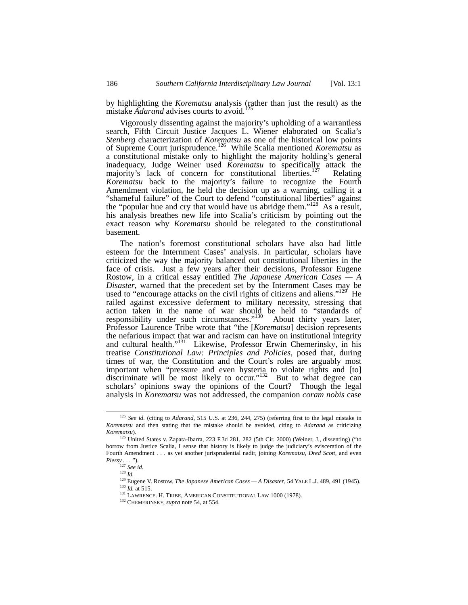by highlighting the *Korematsu* analysis (rather than just the result) as the mistake *Adarand* advises courts to avoid.<sup>1</sup>

Vigorously dissenting against the majority's upholding of a warrantless search, Fifth Circuit Justice Jacques L. Wiener elaborated on Scalia's *Stenberg* characterization of *Korematsu* as one of the historical low points of Supreme Court jurisprudence.[126](#page-19-1) While Scalia mentioned *Korematsu* as a constitutional mistake only to highlight the majority holding's general inadequacy, Judge Weiner used *Korematsu* to specifically attack the majority's lack of concern for constitutional liberties.<sup>127</sup> Relating *Korematsu* back to the majority's failure to recognize the Fourth Amendment violation, he held the decision up as a warning, calling it a "shameful failure" of the Court to defend "constitutional liberties" against the "popular hue and cry that would have us abridge them."<sup>128</sup> As a result, his analysis breathes new life into Scalia's criticism by pointing out the exact reason why *Korematsu* should be relegated to the constitutional basement.

The nation's foremost constitutional scholars have also had little esteem for the Internment Cases' analysis. In particular, scholars have criticized the way the majority balanced out constitutional liberties in the face of crisis. Just a few years after their decisions, Professor Eugene Rostow, in a critical essay entitled *The Japanese American Cases — A Disaster*, warned that the precedent set by the Internment Cases may be used to "encourage attacks on the civil rights of citizens and aliens."<sup>129</sup> He railed against excessive deferment to military necessity, stressing that action taken in the name of war should be held to "standards of responsibility under such circumstances."<sup>130</sup> About thirty years later, Professor Laurence Tribe wrote that "the [*Korematsu*] decision represents the nefarious impact that war and racism can have on institutional integrity and cultural health."<sup>131</sup> Likewise, Professor Erwin Chemerinsky, in his treatise *Constitutional Law: Principles and Policies*, posed that, during times of war, the Constitution and the Court's roles are arguably most important when "pressure and even hysteria to violate rights and [to] discriminate will be most likely to occur."<sup>132</sup> But to what degree can scholars' opinions sway the opinions of the Court? Though the legal analysis in *Korematsu* was not addressed, the companion *coram nobis* case

<span id="page-19-0"></span> <sup>125</sup> *See id.* (citing to *Adarand*, 515 U.S. at 236, 244, 275) (referring first to the legal mistake in *Korematsu* and then stating that the mistake should be avoided, citing to *Adarand* as criticizing

<span id="page-19-1"></span><sup>&</sup>lt;sup>126</sup> United States v. Zapata-Ibarra, 223 F.3d 281, 282 (5th Cir. 2000) (Weiner, J., dissenting) ("to borrow from Justice Scalia, I sense that history is likely to judge the judiciary's evisceration of the Fourth Amendment . . . as yet another jurisprudential nadir, joining *Korematsu*, *Dred Scott*, and even *Plessy . . .* ").

<span id="page-19-2"></span><sup>127</sup> *See id*. 128 *Id.*

<span id="page-19-4"></span><span id="page-19-3"></span>

<sup>129</sup> Eugene V. Rostow, *The Japanese American Cases — A Disaster*, 54 YALE L.J. 489, 491 (1945).

<span id="page-19-5"></span> $\frac{130}{Id}$ . at 515.

<span id="page-19-6"></span><sup>&</sup>lt;sup>131</sup> LAWRENCE. H. TRIBE, AMERICAN CONSTITUTIONAL LAW 1000 (1978).

<span id="page-19-7"></span><sup>132</sup> CHEMERINSKY, *supra* note 54, at 554.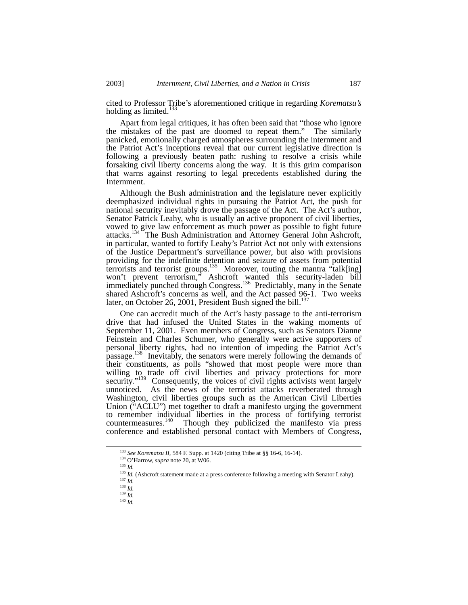cited to Professor Tribe's aforementioned critique in regarding *Korematsu's* holding as limited.<sup>133</sup>

Apart from legal critiques, it has often been said that "those who ignore the mistakes of the past are doomed to repeat them." The similarly panicked, emotionally charged atmospheres surrounding the internment and the Patriot Act's inceptions reveal that our current legislative direction is following a previously beaten path: rushing to resolve a crisis while forsaking civil liberty concerns along the way. It is this grim comparison that warns against resorting to legal precedents established during the Internment.

Although the Bush administration and the legislature never explicitly deemphasized individual rights in pursuing the Patriot Act, the push for national security inevitably drove the passage of the Act. The Act's author, Senator Patrick Leahy, who is usually an active proponent of civil liberties, vowed to give law enforcement as much power as possible to fight future attacks.<sup>134</sup> The Bush Administration and Attorney General John Ashcroft, in particular, wanted to fortify Leahy's Patriot Act not only with extensions of the Justice Department's surveillance power, but also with provisions providing for the indefinite detention and seizure of assets from potential terrorists and terrorist groups.<sup>135</sup> Moreover, touting the mantra "talk[ing] won't prevent terrorism," Ashcroft wanted this security-laden bill immediately punched through Congress.<sup>136</sup> Predictably, many in the Senate shared Ashcroft's concerns as well, and the Act passed 96-1. Two weeks later, on October 26, 2001, President Bush signed the bill.<sup>137</sup>

One can accredit much of the Act's hasty passage to the anti-terrorism drive that had infused the United States in the waking moments of September 11, 2001. Even members of Congress, such as Senators Dianne Feinstein and Charles Schumer, who generally were active supporters of personal liberty rights, had no intention of impeding the Patriot Act's passage.<sup>138</sup> Inevitably, the senators were merely following the demands of their constituents, as polls "showed that most people were more than willing to trade off civil liberties and privacy protections for more security."<sup>139</sup> Consequently, the voices of civil rights activists went largely unnoticed. As the news of the terrorist attacks reverberated through Washington, civil liberties groups such as the American Civil Liberties Union ("ACLU") met together to draft a manifesto urging the government to remember individual liberties in the process of fortifying terrorist countermeasures.<sup>140</sup> Though they publicized the manifesto via press conference and established personal contact with Members of Congress,

<span id="page-20-0"></span><sup>133</sup> *See Korematsu II,* 584 F. Supp. at 1420 (citing Tribe at §§ 16-6, 16-14). 134 O'Harrow, *supra* note 20, at W06.

<span id="page-20-1"></span>

<span id="page-20-2"></span><sup>135</sup> *Id.* 

<span id="page-20-3"></span><sup>&</sup>lt;sup>136</sup> *Id.* (Ashcroft statement made at a press conference following a meeting with Senator Leahy).

<span id="page-20-4"></span><sup>137</sup> *Id.* 

<span id="page-20-5"></span><sup>138</sup> *Id.* 

<span id="page-20-6"></span><sup>139</sup> *Id.* 

<span id="page-20-7"></span><sup>140</sup> *Id.*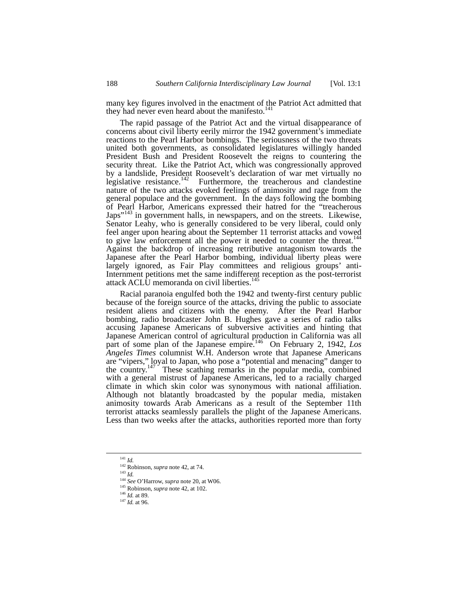many key figures involved in the enactment of the Patriot Act admitted that they had never even heard about the manifesto.<sup>[141](#page-21-0)</sup>

The rapid passage of the Patriot Act and the virtual disappearance of concerns about civil liberty eerily mirror the 1942 government's immediate reactions to the Pearl Harbor bombings. The seriousness of the two threats united both governments, as consolidated legislatures willingly handed President Bush and President Roosevelt the reigns to countering the security threat. Like the Patriot Act, which was congressionally approved by a landslide, President Roosevelt's declaration of war met virtually no legislative resistance.<sup>142</sup> Furthermore, the treacherous and clandestine nature of the two attacks evoked feelings of animosity and rage from the general populace and the government. In the days following the bombing of Pearl Harbor, Americans expressed their hatred for the "treacherous Japs<sup>"143</sup> in government halls, in newspapers, and on the streets. Likewise, Senator Leahy, who is generally considered to be very liberal, could only feel anger upon hearing about the September 11 terrorist attacks and vowed to give law enforcement all the power it needed to counter the threat.<sup>144</sup> Against the backdrop of increasing retributive antagonism towards the Japanese after the Pearl Harbor bombing, individual liberty pleas were largely ignored, as Fair Play committees and religious groups' anti-Internment petitions met the same indifferent reception as the post-terrorist attack ACLU memoranda on civil liberties.<sup>[145](#page-21-4)</sup>

Racial paranoia engulfed both the 1942 and twenty-first century public because of the foreign source of the attacks, driving the public to associate resident aliens and citizens with the enemy. After the Pearl Harbor bombing, radio broadcaster John B. Hughes gave a series of radio talks accusing Japanese Americans of subversive activities and hinting that Japanese American control of agricultural production in California was all part of some plan of the Japanese empire.[146](#page-21-5) On February 2, 1942, *Los Angeles Times* columnist W.H. Anderson wrote that Japanese Americans are "vipers," loyal to Japan, who pose a "potential and menacing" danger to the country.<sup>[147](#page-21-6)</sup> These scathing remarks in the popular media, combined with a general mistrust of Japanese Americans, led to a racially charged climate in which skin color was synonymous with national affiliation. Although not blatantly broadcasted by the popular media, mistaken animosity towards Arab Americans as a result of the September 11th terrorist attacks seamlessly parallels the plight of the Japanese Americans. Less than two weeks after the attacks, authorities reported more than forty

<span id="page-21-0"></span> <sup>141</sup> *Id.* 

<span id="page-21-1"></span><sup>142</sup> Robinson, *supra* note 42, at 74.

<span id="page-21-2"></span><sup>143</sup> *Id.*

<span id="page-21-3"></span><sup>144</sup> *See* O'Harrow, *supra* note 20, at W06.

<span id="page-21-4"></span><sup>145</sup> Robinson, *supra* note 42, at 102.

<span id="page-21-5"></span><sup>146</sup> *Id.* at 89.

<span id="page-21-6"></span><sup>147</sup> *Id.* at 96.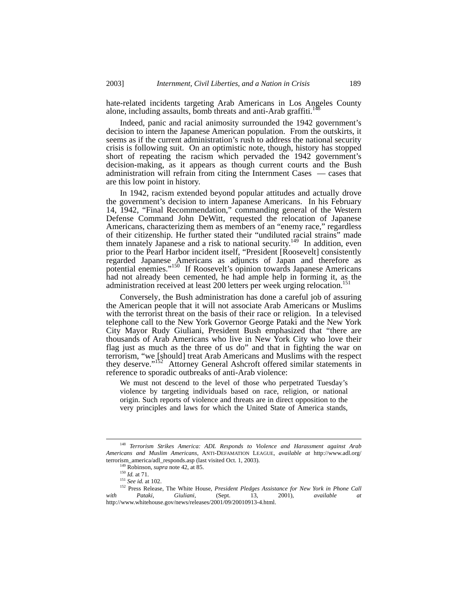hate-related incidents targeting Arab Americans in Los Angeles County alone, including assaults, bomb threats and anti-Arab graffiti.<sup>14</sup>

Indeed, panic and racial animosity surrounded the 1942 government's decision to intern the Japanese American population. From the outskirts, it seems as if the current administration's rush to address the national security crisis is following suit. On an optimistic note, though, history has stopped short of repeating the racism which pervaded the 1942 government's decision-making, as it appears as though current courts and the Bush administration will refrain from citing the Internment Cases — cases that are this low point in history.

In 1942, racism extended beyond popular attitudes and actually drove the government's decision to intern Japanese Americans. In his February 14, 1942, "Final Recommendation," commanding general of the Western Defense Command John DeWitt, requested the relocation of Japanese Americans, characterizing them as members of an "enemy race," regardless of their citizenship. He further stated their "undiluted racial strains" made them innately Japanese and a risk to national security.<sup>149</sup> In addition, even prior to the Pearl Harbor incident itself, "President [Roosevelt] consistently regarded Japanese Americans as adjuncts of Japan and therefore as potential enemies."[150](#page-22-2) If Roosevelt's opinion towards Japanese Americans had not already been cemented, he had ample help in forming it, as the administration received at least 200 letters per week urging relocation.<sup>[151](#page-22-3)</sup>

Conversely, the Bush administration has done a careful job of assuring the American people that it will not associate Arab Americans or Muslims with the terrorist threat on the basis of their race or religion. In a televised telephone call to the New York Governor George Pataki and the New York City Mayor Rudy Giuliani, President Bush emphasized that "there are thousands of Arab Americans who live in New York City who love their flag just as much as the three of us do" and that in fighting the war on terrorism, "we [should] treat Arab Americans and Muslims with the respect they deserve."<sup>152</sup> Attorney General Ashcroft offered similar statements in reference to sporadic outbreaks of anti-Arab violence:

We must not descend to the level of those who perpetrated Tuesday's violence by targeting individuals based on race, religion, or national origin. Such reports of violence and threats are in direct opposition to the very principles and laws for which the United State of America stands,

 <sup>148</sup> *Terrorism Strikes America: ADL Responds to Violence and Harassment against Arab Americans and Muslim Americans*, ANTI-DEFAMATION LEAGUE, *available at* http://www.adl.org/ terrorism\_america/adl\_responds.asp (last visited Oct. 1, 2003).

<span id="page-22-1"></span><span id="page-22-0"></span><sup>149</sup> Robinson, *supra* note 42, at 85.

<span id="page-22-2"></span><sup>150</sup> *Id.* at 71.

<span id="page-22-4"></span><span id="page-22-3"></span><sup>151</sup> *See id.* at 102.

<sup>152</sup> Press Release, The White House, *President Pledges Assistance for New York in Phone Call with Pataki, Giuliani,* (Sept. 13, 2001), *available at*  http://www.whitehouse.gov/news/releases/2001/09/20010913-4.html.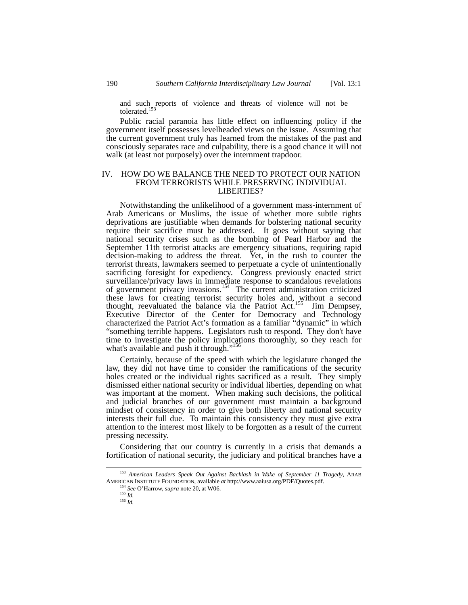and such reports of violence and threats of violence will not be tolerated.<sup>[153](#page-23-0)</sup>

Public racial paranoia has little effect on influencing policy if the government itself possesses levelheaded views on the issue. Assuming that the current government truly has learned from the mistakes of the past and consciously separates race and culpability, there is a good chance it will not walk (at least not purposely) over the internment trapdoor.

## IV. HOW DO WE BALANCE THE NEED TO PROTECT OUR NATION FROM TERRORISTS WHILE PRESERVING INDIVIDUAL LIBERTIES?

Notwithstanding the unlikelihood of a government mass-internment of Arab Americans or Muslims, the issue of whether more subtle rights deprivations are justifiable when demands for bolstering national security require their sacrifice must be addressed. It goes without saying that national security crises such as the bombing of Pearl Harbor and the September 11th terrorist attacks are emergency situations, requiring rapid decision-making to address the threat. Yet, in the rush to counter the terrorist threats, lawmakers seemed to perpetuate a cycle of unintentionally sacrificing foresight for expediency. Congress previously enacted strict surveillance/privacy laws in immediate response to scandalous revelations of government privacy invasions.<sup>154</sup> The current administration criticized these laws for creating terrorist security holes and, without a second thought, reevaluated the balance via the Patriot Act.<sup>155</sup> Jim Dempsey, Executive Director of the Center for Democracy and Technology characterized the Patriot Act's formation as a familiar "dynamic" in which "something terrible happens. Legislators rush to respond. They don't have time to investigate the policy implications thoroughly, so they reach for what's available and push it through."<sup>[156](#page-23-3)</sup>

Certainly, because of the speed with which the legislature changed the law, they did not have time to consider the ramifications of the security holes created or the individual rights sacrificed as a result. They simply dismissed either national security or individual liberties, depending on what was important at the moment. When making such decisions, the political and judicial branches of our government must maintain a background mindset of consistency in order to give both liberty and national security interests their full due. To maintain this consistency they must give extra attention to the interest most likely to be forgotten as a result of the current pressing necessity.

Considering that our country is currently in a crisis that demands a fortification of national security, the judiciary and political branches have a

 <sup>153</sup> *American Leaders Speak Out Against Backlash in Wake of September 11 Tragedy*, ARAB AMERICAN INSTITUTE FOUNDATION, available *at* http://www.aaiusa.org/PDF/Quotes.pdf.

<span id="page-23-1"></span><span id="page-23-0"></span><sup>154</sup> *See* O'Harrow, *supra* note 20, at W06.

<span id="page-23-2"></span><sup>155</sup> *Id.*

<span id="page-23-3"></span><sup>156</sup> *Id.*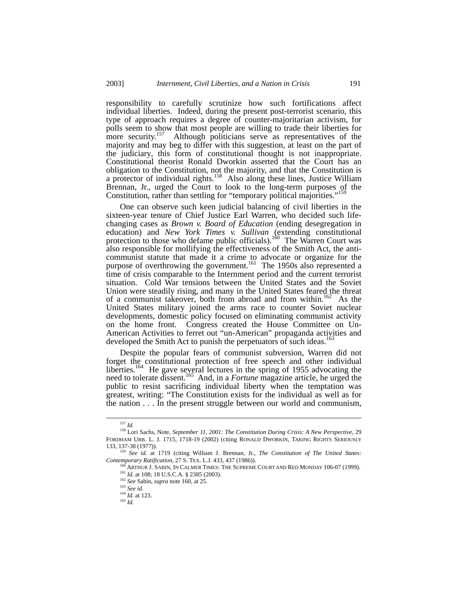responsibility to carefully scrutinize how such fortifications affect individual liberties. Indeed, during the present post-terrorist scenario, this type of approach requires a degree of counter-majoritarian activism, for polls seem to show that most people are willing to trade their liberties for more security.<sup>[157](#page-24-0)</sup> Although politicians serve as representatives of the majority and may beg to differ with this suggestion, at least on the part of the judiciary, this form of constitutional thought is not inappropriate. Constitutional theorist Ronald Dworkin asserted that the Court has an obligation to the Constitution, not the majority, and that the Constitution is a protector of individual rights.<sup>158</sup> Also along these lines, Justice William Brennan, Jr., urged the Court to look to the long-term purposes of the Constitution, rather than settling for "temporary political majorities."<sup>15</sup>

One can observe such keen judicial balancing of civil liberties in the sixteen-year tenure of Chief Justice Earl Warren, who decided such lifechanging cases as *Brown v. Board of Education* (ending desegregation in education) and *New York Times v. Sullivan* (extending constitutional protection to those who defame public officials).<sup>[160](#page-24-3)</sup> The Warren Court was also responsible for mollifying the effectiveness of the Smith Act, the anticommunist statute that made it a crime to advocate or organize for the purpose of overthrowing the government.<sup>161</sup> The 1950s also represented a time of crisis comparable to the Internment period and the current terrorist situation. Cold War tensions between the United States and the Soviet Union were steadily rising, and many in the United States feared the threat of a communist takeover, both from abroad and from within.<sup>162</sup> As the United States military joined the arms race to counter Soviet nuclear developments, domestic policy focused on eliminating communist activity on the home front. Congress created the House Committee on Un-American Activities to ferret out "un-American" propaganda activities and developed the Smith Act to punish the perpetuators of such ideas.<sup>[163](#page-24-6)</sup>

Despite the popular fears of communist subversion, Warren did not forget the constitutional protection of free speech and other individual liberties.<sup>164</sup> He gave several lectures in the spring of 1955 advocating the need to tolerate dissent.[165](#page-24-8) And, in a *Fortune* magazine article, he urged the public to resist sacrificing individual liberty when the temptation was greatest, writing: "The Constitution exists for the individual as well as for the nation . . . In the present struggle between our world and communism,

<span id="page-24-1"></span><span id="page-24-0"></span> <sup>157</sup> *Id.*

<sup>158</sup> Lori Sachs, Note, *September 11, 2001: The Constitution During Crisis: A New Perspective*, 29 FORDHAM URB. L. J. 1715, 1718-19 (2002) (citing RONALD DWORKIN, TAKING RIGHTS SERIOUSLY 133, 137-38 (1977)).

<sup>159</sup> *See id.* at 1719 (citing William J. Brennan, Jr., *The Constitution of The United States: Contemporary Ratification*, 27 S. TEX. L.J. 433, 437 (1986)).

<span id="page-24-3"></span><span id="page-24-2"></span> $^{160}$  ARTHUR J. SABIN, IN CALMER TIMES: THE SUPREME COURT AND RED MONDAY 106-07 (1999). <sup>161</sup> *Id.* at 108; 18 U.S.C.A. § 2385 (2003).

<span id="page-24-5"></span><span id="page-24-4"></span><sup>162</sup> *See* Sabin, *supra* note 160, at 25.

<span id="page-24-6"></span><sup>163</sup> *See id.*

<span id="page-24-7"></span><sup>164</sup> *Id.* at 123.

<span id="page-24-8"></span><sup>165</sup> *Id.*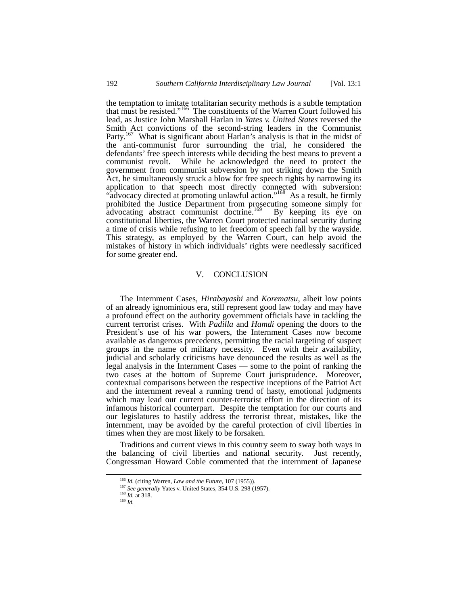the temptation to imitate totalitarian security methods is a subtle temptation that must be resisted."[166](#page-25-0) The constituents of the Warren Court followed his lead, as Justice John Marshall Harlan in *Yates v. United States* reversed the Smith Act convictions of the second-string leaders in the Communist Party.<sup>167</sup> What is significant about Harlan's analysis is that in the midst of the anti-communist furor surrounding the trial, he considered the defendants' free speech interests while deciding the best means to prevent a communist revolt. While he acknowledged the need to protect the government from communist subversion by not striking down the Smith Act, he simultaneously struck a blow for free speech rights by narrowing its application to that speech most directly connected with subversion: "advocacy directed at promoting unlawful action."<sup>168</sup> As a result, he firmly prohibited the Justice Department from prosecuting someone simply for advocating abstract communist doctrine.<sup>169</sup> By keeping its eye on constitutional liberties, the Warren Court protected national security during a time of crisis while refusing to let freedom of speech fall by the wayside. This strategy, as employed by the Warren Court, can help avoid the mistakes of history in which individuals' rights were needlessly sacrificed for some greater end.

## V. CONCLUSION

The Internment Cases, *Hirabayashi* and *Korematsu*, albeit low points of an already ignominious era, still represent good law today and may have a profound effect on the authority government officials have in tackling the current terrorist crises. With *Padilla* and *Hamdi* opening the doors to the President's use of his war powers, the Internment Cases now become available as dangerous precedents, permitting the racial targeting of suspect groups in the name of military necessity. Even with their availability, judicial and scholarly criticisms have denounced the results as well as the legal analysis in the Internment Cases — some to the point of ranking the two cases at the bottom of Supreme Court jurisprudence. Moreover, contextual comparisons between the respective inceptions of the Patriot Act and the internment reveal a running trend of hasty, emotional judgments which may lead our current counter-terrorist effort in the direction of its infamous historical counterpart. Despite the temptation for our courts and our legislatures to hastily address the terrorist threat, mistakes, like the internment, may be avoided by the careful protection of civil liberties in times when they are most likely to be forsaken.

Traditions and current views in this country seem to sway both ways in the balancing of civil liberties and national security. Just recently, Congressman Howard Coble commented that the internment of Japanese

<span id="page-25-0"></span> <sup>166</sup> *Id.* (citing Warren, *Law and the Future*, 107 (1955)).

<sup>167</sup> *See generally* Yates v. United States, 354 U.S. 298 (1957).

<span id="page-25-2"></span><span id="page-25-1"></span><sup>168</sup> *Id.* at 318.

<span id="page-25-3"></span> $^{169}\,$   $ld.$